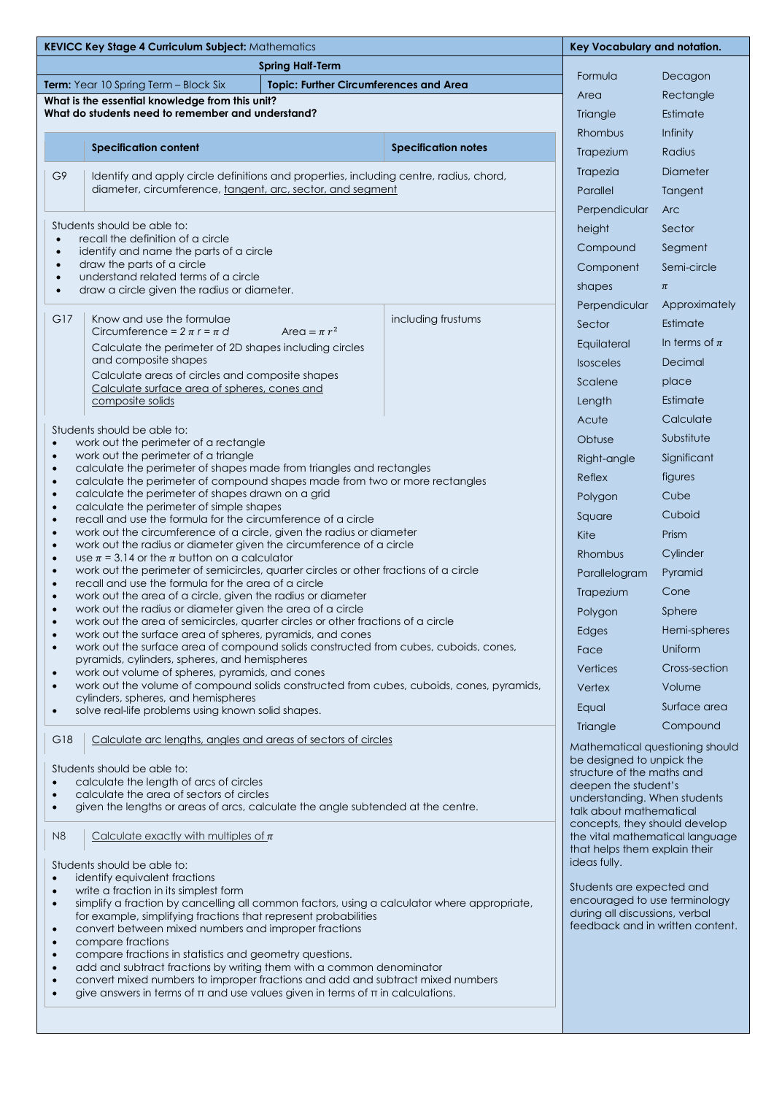| KEVICC Key Stage 4 Curriculum Subject: Mathematics                                                                                                                      |                                                                                                                                                   |                            |                                                                  | Key Vocabulary and notation.                                    |  |
|-------------------------------------------------------------------------------------------------------------------------------------------------------------------------|---------------------------------------------------------------------------------------------------------------------------------------------------|----------------------------|------------------------------------------------------------------|-----------------------------------------------------------------|--|
| <b>Spring Half-Term</b>                                                                                                                                                 |                                                                                                                                                   |                            |                                                                  |                                                                 |  |
| <b>Topic: Further Circumferences and Area</b><br><b>Term:</b> Year 10 Spring Term - Block Six                                                                           |                                                                                                                                                   |                            |                                                                  | Decagon                                                         |  |
| What is the essential knowledge from this unit?                                                                                                                         |                                                                                                                                                   |                            |                                                                  | Rectangle                                                       |  |
| What do students need to remember and understand?                                                                                                                       |                                                                                                                                                   |                            |                                                                  | Estimate                                                        |  |
|                                                                                                                                                                         |                                                                                                                                                   |                            | Rhombus                                                          | Infinity                                                        |  |
|                                                                                                                                                                         | <b>Specification content</b>                                                                                                                      | <b>Specification notes</b> | Trapezium                                                        | Radius                                                          |  |
| G9                                                                                                                                                                      | Identify and apply circle definitions and properties, including centre, radius, chord,                                                            |                            | Trapezia                                                         | Diameter                                                        |  |
|                                                                                                                                                                         | diameter, circumference, tangent, arc, sector, and segment                                                                                        |                            | Parallel                                                         | Tangent                                                         |  |
|                                                                                                                                                                         |                                                                                                                                                   |                            | Perpendicular                                                    | <b>Arc</b>                                                      |  |
| Students should be able to:<br>recall the definition of a circle<br>$\bullet$                                                                                           |                                                                                                                                                   |                            | height                                                           | Sector                                                          |  |
| identify and name the parts of a circle<br>$\bullet$                                                                                                                    |                                                                                                                                                   |                            | Compound                                                         | Segment                                                         |  |
| draw the parts of a circle<br>$\bullet$<br>understand related terms of a circle                                                                                         |                                                                                                                                                   |                            | Component                                                        | Semi-circle                                                     |  |
| $\bullet$<br>draw a circle given the radius or diameter.<br>$\bullet$                                                                                                   |                                                                                                                                                   |                            | shapes                                                           | $\pi$                                                           |  |
|                                                                                                                                                                         |                                                                                                                                                   |                            | Perpendicular                                                    | Approximately                                                   |  |
| G17                                                                                                                                                                     | Know and use the formulae<br>Circumference = $2 \pi r = \pi d$<br>Area = $\pi r^2$                                                                | including frustums         | Sector                                                           | Estimate                                                        |  |
|                                                                                                                                                                         | Calculate the perimeter of 2D shapes including circles                                                                                            |                            | Equilateral                                                      | In terms of $\pi$                                               |  |
|                                                                                                                                                                         | and composite shapes                                                                                                                              |                            | <b>Isosceles</b>                                                 | Decimal                                                         |  |
|                                                                                                                                                                         | Calculate areas of circles and composite shapes<br>Calculate surface area of spheres, cones and                                                   |                            | Scalene                                                          | place                                                           |  |
|                                                                                                                                                                         | composite solids                                                                                                                                  |                            | Length                                                           | Estimate                                                        |  |
|                                                                                                                                                                         |                                                                                                                                                   |                            | Acute                                                            | Calculate                                                       |  |
| $\bullet$                                                                                                                                                               | Students should be able to:<br>work out the perimeter of a rectangle                                                                              |                            | Obtuse                                                           | Substitute                                                      |  |
| work out the perimeter of a triangle<br>$\bullet$                                                                                                                       |                                                                                                                                                   |                            | Right-angle                                                      | Significant                                                     |  |
| $\bullet$<br>$\bullet$                                                                                                                                                  | calculate the perimeter of shapes made from triangles and rectangles                                                                              |                            | Reflex                                                           | figures                                                         |  |
| calculate the perimeter of compound shapes made from two or more rectangles<br>calculate the perimeter of shapes drawn on a grid<br>$\bullet$                           |                                                                                                                                                   |                            | Polygon                                                          | Cube                                                            |  |
| calculate the perimeter of simple shapes<br>$\bullet$                                                                                                                   |                                                                                                                                                   |                            | Square                                                           | Cuboid                                                          |  |
| recall and use the formula for the circumference of a circle<br>$\bullet$<br>work out the circumference of a circle, given the radius or diameter<br>$\bullet$          |                                                                                                                                                   |                            | Kite                                                             | Prism                                                           |  |
| work out the radius or diameter given the circumference of a circle<br>$\bullet$                                                                                        |                                                                                                                                                   |                            | Rhombus                                                          | Cylinder                                                        |  |
| use $\pi$ = 3.14 or the $\pi$ button on a calculator<br>$\bullet$<br>work out the perimeter of semicircles, quarter circles or other fractions of a circle<br>$\bullet$ |                                                                                                                                                   |                            | Parallelogram                                                    | Pyramid                                                         |  |
| recall and use the formula for the area of a circle<br>$\bullet$                                                                                                        |                                                                                                                                                   |                            | Trapezium                                                        | Cone                                                            |  |
| work out the area of a circle, given the radius or diameter<br>$\bullet$<br>work out the radius or diameter given the area of a circle<br>$\bullet$                     |                                                                                                                                                   |                            | Polygon                                                          | Sphere                                                          |  |
| work out the area of semicircles, quarter circles or other fractions of a circle                                                                                        |                                                                                                                                                   |                            | Edges                                                            | Hemi-spheres                                                    |  |
| $\bullet$<br>$\bullet$                                                                                                                                                  | work out the surface area of spheres, pyramids, and cones<br>work out the surface area of compound solids constructed from cubes, cuboids, cones, |                            | Face                                                             | Uniform                                                         |  |
|                                                                                                                                                                         | pyramids, cylinders, spheres, and hemispheres                                                                                                     |                            | Vertices                                                         | Cross-section                                                   |  |
| work out volume of spheres, pyramids, and cones<br>$\bullet$<br>work out the volume of compound solids constructed from cubes, cuboids, cones, pyramids,                |                                                                                                                                                   |                            |                                                                  | Volume                                                          |  |
| $\bullet$<br>cylinders, spheres, and hemispheres                                                                                                                        |                                                                                                                                                   |                            | Vertex                                                           |                                                                 |  |
| $\bullet$                                                                                                                                                               | solve real-life problems using known solid shapes.                                                                                                |                            | Equal                                                            | Surface area<br>Compound                                        |  |
| G18                                                                                                                                                                     | Calculate arc lengths, angles and areas of sectors of circles                                                                                     |                            | Triangle                                                         |                                                                 |  |
|                                                                                                                                                                         |                                                                                                                                                   |                            | Mathematical questioning should<br>be designed to unpick the     |                                                                 |  |
| Students should be able to:                                                                                                                                             |                                                                                                                                                   |                            |                                                                  | structure of the maths and                                      |  |
| calculate the length of arcs of circles<br>$\bullet$<br>deepen the student's<br>calculate the area of sectors of circles<br>$\bullet$<br>understanding. When students   |                                                                                                                                                   |                            |                                                                  |                                                                 |  |
| $\bullet$                                                                                                                                                               | given the lengths or areas of arcs, calculate the angle subtended at the centre.                                                                  |                            | talk about mathematical                                          |                                                                 |  |
| N <sub>8</sub>                                                                                                                                                          | Calculate exactly with multiples of $\pi$                                                                                                         |                            | concepts, they should develop                                    |                                                                 |  |
|                                                                                                                                                                         |                                                                                                                                                   |                            | the vital mathematical language<br>that helps them explain their |                                                                 |  |
| Students should be able to:                                                                                                                                             |                                                                                                                                                   |                            |                                                                  |                                                                 |  |
| $\bullet$<br>$\bullet$                                                                                                                                                  | identify equivalent fractions<br>write a fraction in its simplest form                                                                            | Students are expected and  |                                                                  |                                                                 |  |
| simplify a fraction by cancelling all common factors, using a calculator where appropriate,<br>$\bullet$                                                                |                                                                                                                                                   |                            |                                                                  | encouraged to use terminology<br>during all discussions, verbal |  |
| for example, simplifying fractions that represent probabilities<br>convert between mixed numbers and improper fractions<br>$\bullet$                                    |                                                                                                                                                   |                            |                                                                  | feedback and in written content.                                |  |
| compare fractions<br>$\bullet$                                                                                                                                          |                                                                                                                                                   |                            |                                                                  |                                                                 |  |
| compare fractions in statistics and geometry questions.<br>$\bullet$<br>add and subtract fractions by writing them with a common denominator<br>$\bullet$               |                                                                                                                                                   |                            |                                                                  |                                                                 |  |
| convert mixed numbers to improper fractions and add and subtract mixed numbers<br>$\bullet$                                                                             |                                                                                                                                                   |                            |                                                                  |                                                                 |  |
| give answers in terms of $\pi$ and use values given in terms of $\pi$ in calculations.<br>$\bullet$                                                                     |                                                                                                                                                   |                            |                                                                  |                                                                 |  |
|                                                                                                                                                                         |                                                                                                                                                   |                            |                                                                  |                                                                 |  |